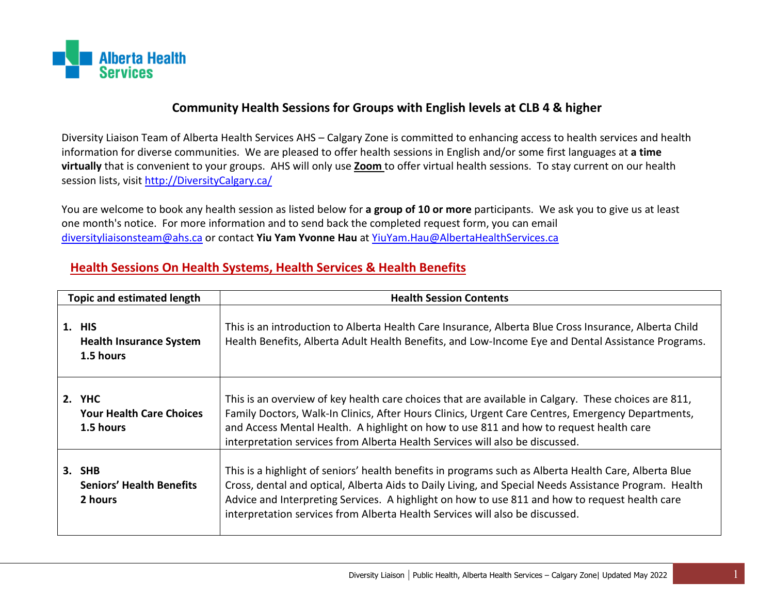

## **Community Health Sessions for Groups with English levels at CLB 4 & higher**

Diversity Liaison Team of Alberta Health Services AHS – Calgary Zone is committed to enhancing access to health services and health information for diverse communities. We are pleased to offer health sessions in English and/or some first languages at **a time virtually** that is convenient to your groups. AHS will only use **Zoom** to offer virtual health sessions. To stay current on our health session lists, visit [http://DiversityCalgary.ca/](http://diversitycalgary.ca/)

You are welcome to book any health session as listed below for **a group of 10 or more** participants. We ask you to give us at least one month's notice. For more information and to send back the completed request form, you can email [diversityliaisonsteam@ahs.ca](mailto:diversityliaisonsteam@ahs.ca) or contact **Yiu Yam Yvonne Hau** at [YiuYam.Hau@AlbertaHealthServices.ca](mailto:YiuYam.Hau@AlbertaHealthServices.ca)

## **Health Sessions On Health Systems, Health Services & Health Benefits**

| <b>Topic and estimated length</b> |                                                        | <b>Health Session Contents</b>                                                                                                                                                                                                                                                                                                                                                                   |
|-----------------------------------|--------------------------------------------------------|--------------------------------------------------------------------------------------------------------------------------------------------------------------------------------------------------------------------------------------------------------------------------------------------------------------------------------------------------------------------------------------------------|
|                                   | 1. HIS<br><b>Health Insurance System</b><br>1.5 hours  | This is an introduction to Alberta Health Care Insurance, Alberta Blue Cross Insurance, Alberta Child<br>Health Benefits, Alberta Adult Health Benefits, and Low-Income Eye and Dental Assistance Programs.                                                                                                                                                                                      |
|                                   | 2. YHC<br><b>Your Health Care Choices</b><br>1.5 hours | This is an overview of key health care choices that are available in Calgary. These choices are 811,<br>Family Doctors, Walk-In Clinics, After Hours Clinics, Urgent Care Centres, Emergency Departments,<br>and Access Mental Health. A highlight on how to use 811 and how to request health care<br>interpretation services from Alberta Health Services will also be discussed.              |
|                                   | 3. SHB<br><b>Seniors' Health Benefits</b><br>2 hours   | This is a highlight of seniors' health benefits in programs such as Alberta Health Care, Alberta Blue<br>Cross, dental and optical, Alberta Aids to Daily Living, and Special Needs Assistance Program. Health<br>Advice and Interpreting Services. A highlight on how to use 811 and how to request health care<br>interpretation services from Alberta Health Services will also be discussed. |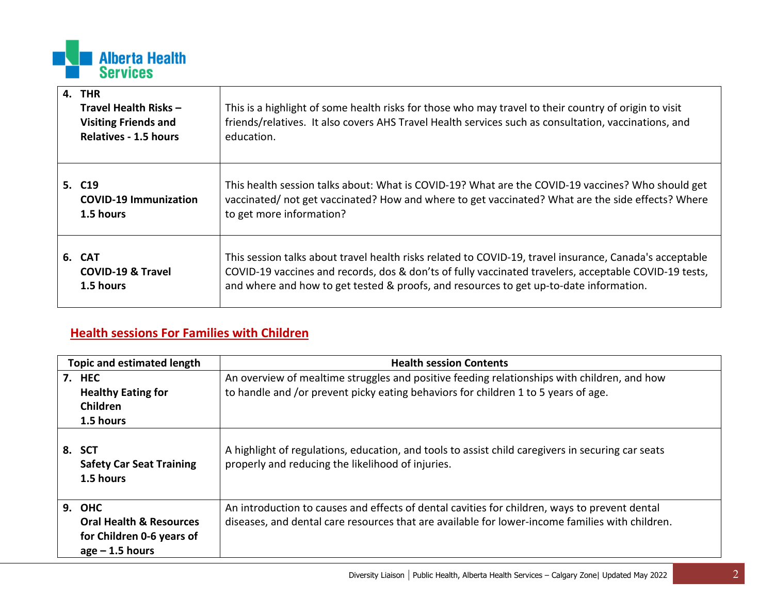

| 4. THR<br>Travel Health Risks -<br><b>Visiting Friends and</b><br><b>Relatives - 1.5 hours</b> | This is a highlight of some health risks for those who may travel to their country of origin to visit<br>friends/relatives. It also covers AHS Travel Health services such as consultation, vaccinations, and<br>education.                                                                                |
|------------------------------------------------------------------------------------------------|------------------------------------------------------------------------------------------------------------------------------------------------------------------------------------------------------------------------------------------------------------------------------------------------------------|
| 5. C <sub>19</sub><br><b>COVID-19 Immunization</b><br>1.5 hours                                | This health session talks about: What is COVID-19? What are the COVID-19 vaccines? Who should get<br>vaccinated/ not get vaccinated? How and where to get vaccinated? What are the side effects? Where<br>to get more information?                                                                         |
| 6. CAT<br><b>COVID-19 &amp; Travel</b><br>1.5 hours                                            | This session talks about travel health risks related to COVID-19, travel insurance, Canada's acceptable<br>COVID-19 vaccines and records, dos & don'ts of fully vaccinated travelers, acceptable COVID-19 tests,<br>and where and how to get tested & proofs, and resources to get up-to-date information. |

## **Health sessions For Families with Children**

| Topic and estimated length |                                                                                      | <b>Health session Contents</b>                                                                                                                                                                   |
|----------------------------|--------------------------------------------------------------------------------------|--------------------------------------------------------------------------------------------------------------------------------------------------------------------------------------------------|
| 7. HEC                     | <b>Healthy Eating for</b><br><b>Children</b><br>1.5 hours                            | An overview of mealtime struggles and positive feeding relationships with children, and how<br>to handle and /or prevent picky eating behaviors for children 1 to 5 years of age.                |
| <b>SCT</b><br>8.           | <b>Safety Car Seat Training</b><br>1.5 hours                                         | A highlight of regulations, education, and tools to assist child caregivers in securing car seats<br>properly and reducing the likelihood of injuries.                                           |
| <b>9. OHC</b>              | <b>Oral Health &amp; Resources</b><br>for Children 0-6 years of<br>$age - 1.5 hours$ | An introduction to causes and effects of dental cavities for children, ways to prevent dental<br>diseases, and dental care resources that are available for lower-income families with children. |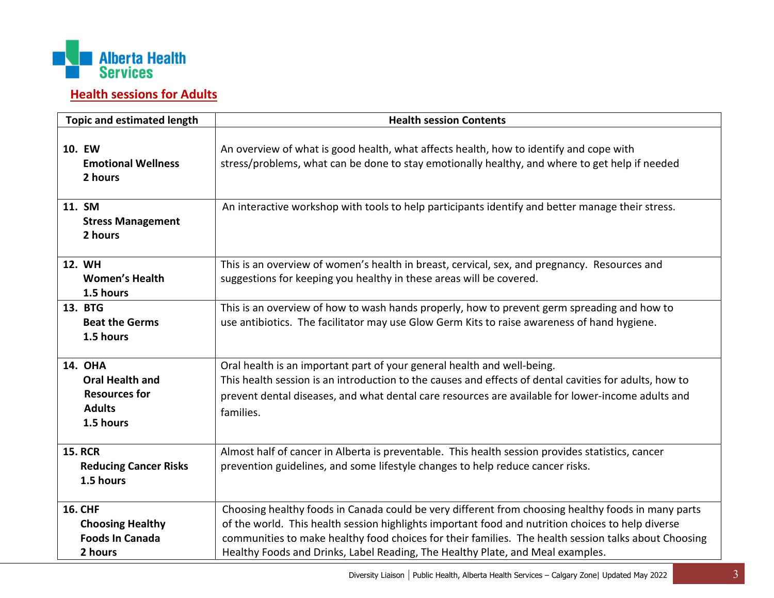

## **Health sessions for Adults**

| <b>Topic and estimated length</b>                                                              | <b>Health session Contents</b>                                                                                                                                                                                                                                                                                                                                                                    |
|------------------------------------------------------------------------------------------------|---------------------------------------------------------------------------------------------------------------------------------------------------------------------------------------------------------------------------------------------------------------------------------------------------------------------------------------------------------------------------------------------------|
| 10. EW<br><b>Emotional Wellness</b><br>2 hours                                                 | An overview of what is good health, what affects health, how to identify and cope with<br>stress/problems, what can be done to stay emotionally healthy, and where to get help if needed                                                                                                                                                                                                          |
| 11. SM<br><b>Stress Management</b><br>2 hours                                                  | An interactive workshop with tools to help participants identify and better manage their stress.                                                                                                                                                                                                                                                                                                  |
| <b>12. WH</b><br><b>Women's Health</b><br>1.5 hours                                            | This is an overview of women's health in breast, cervical, sex, and pregnancy. Resources and<br>suggestions for keeping you healthy in these areas will be covered.                                                                                                                                                                                                                               |
| 13. BTG<br><b>Beat the Germs</b><br>1.5 hours                                                  | This is an overview of how to wash hands properly, how to prevent germ spreading and how to<br>use antibiotics. The facilitator may use Glow Germ Kits to raise awareness of hand hygiene.                                                                                                                                                                                                        |
| <b>14. OHA</b><br><b>Oral Health and</b><br><b>Resources for</b><br><b>Adults</b><br>1.5 hours | Oral health is an important part of your general health and well-being.<br>This health session is an introduction to the causes and effects of dental cavities for adults, how to<br>prevent dental diseases, and what dental care resources are available for lower-income adults and<br>families.                                                                                               |
| <b>15. RCR</b><br><b>Reducing Cancer Risks</b><br>1.5 hours                                    | Almost half of cancer in Alberta is preventable. This health session provides statistics, cancer<br>prevention guidelines, and some lifestyle changes to help reduce cancer risks.                                                                                                                                                                                                                |
| <b>16. CHF</b><br><b>Choosing Healthy</b><br><b>Foods In Canada</b><br>2 hours                 | Choosing healthy foods in Canada could be very different from choosing healthy foods in many parts<br>of the world. This health session highlights important food and nutrition choices to help diverse<br>communities to make healthy food choices for their families. The health session talks about Choosing<br>Healthy Foods and Drinks, Label Reading, The Healthy Plate, and Meal examples. |